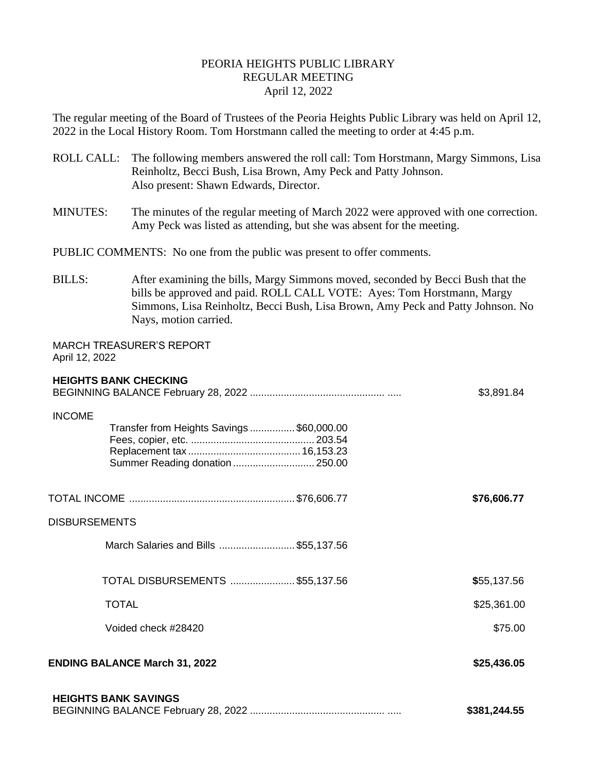### PEORIA HEIGHTS PUBLIC LIBRARY REGULAR MEETING April 12, 2022

The regular meeting of the Board of Trustees of the Peoria Heights Public Library was held on April 12, 2022 in the Local History Room. Tom Horstmann called the meeting to order at 4:45 p.m.

- ROLL CALL: The following members answered the roll call: Tom Horstmann, Margy Simmons, Lisa Reinholtz, Becci Bush, Lisa Brown, Amy Peck and Patty Johnson. Also present: Shawn Edwards, Director.
- MINUTES: The minutes of the regular meeting of March 2022 were approved with one correction. Amy Peck was listed as attending, but she was absent for the meeting.

PUBLIC COMMENTS: No one from the public was present to offer comments.

BILLS: After examining the bills, Margy Simmons moved, seconded by Becci Bush that the bills be approved and paid. ROLL CALL VOTE: Ayes: Tom Horstmann, Margy Simmons, Lisa Reinholtz, Becci Bush, Lisa Brown, Amy Peck and Patty Johnson. No Nays, motion carried.

MARCH TREASURER'S REPORT April 12, 2022

| <b>HEIGHTS BANK CHECKING</b>                                                                 | \$3,891.84   |
|----------------------------------------------------------------------------------------------|--------------|
| <b>INCOME</b><br>Transfer from Heights Savings\$60,000.00<br>Summer Reading donation  250.00 |              |
|                                                                                              | \$76,606.77  |
| <b>DISBURSEMENTS</b>                                                                         |              |
| March Salaries and Bills \$55,137.56                                                         |              |
| TOTAL DISBURSEMENTS \$55,137.56                                                              | \$55,137.56  |
| <b>TOTAL</b>                                                                                 | \$25,361.00  |
| Voided check #28420                                                                          | \$75.00      |
| <b>ENDING BALANCE March 31, 2022</b>                                                         | \$25,436.05  |
| <b>HEIGHTS BANK SAVINGS</b>                                                                  | \$381,244.55 |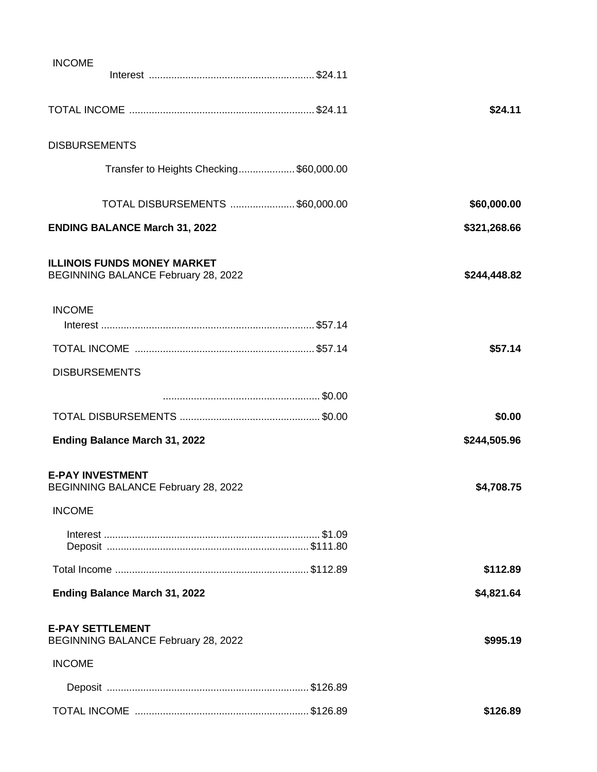| <b>INCOME</b>                                                             |              |
|---------------------------------------------------------------------------|--------------|
|                                                                           | \$24.11      |
| <b>DISBURSEMENTS</b>                                                      |              |
| Transfer to Heights Checking\$60,000.00                                   |              |
| TOTAL DISBURSEMENTS \$60,000.00                                           | \$60,000.00  |
| <b>ENDING BALANCE March 31, 2022</b>                                      | \$321,268.66 |
| <b>ILLINOIS FUNDS MONEY MARKET</b><br>BEGINNING BALANCE February 28, 2022 | \$244,448.82 |
| <b>INCOME</b>                                                             |              |
|                                                                           |              |
|                                                                           | \$57.14      |
| <b>DISBURSEMENTS</b>                                                      |              |
|                                                                           |              |
|                                                                           | \$0.00       |
| <b>Ending Balance March 31, 2022</b>                                      | \$244,505.96 |
| <b>E-PAY INVESTMENT</b><br>BEGINNING BALANCE February 28, 2022            | \$4,708.75   |
| <b>INCOME</b>                                                             |              |
|                                                                           |              |
|                                                                           | \$112.89     |
| <b>Ending Balance March 31, 2022</b>                                      | \$4,821.64   |
| <b>E-PAY SETTLEMENT</b><br>BEGINNING BALANCE February 28, 2022            | \$995.19     |
| <b>INCOME</b>                                                             |              |
|                                                                           |              |
|                                                                           | \$126.89     |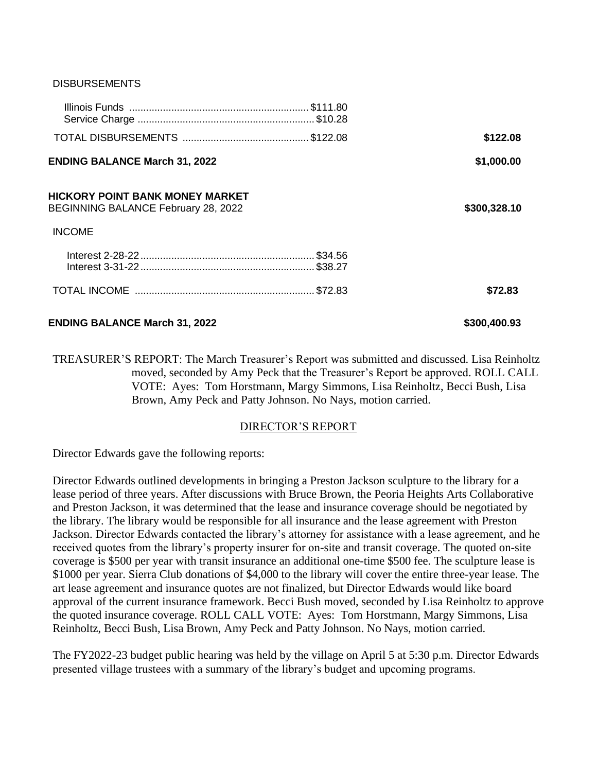| <b>DISBURSEMENTS</b> |
|----------------------|
|----------------------|

|                                                                                      | \$122.08     |
|--------------------------------------------------------------------------------------|--------------|
| <b>ENDING BALANCE March 31, 2022</b>                                                 | \$1,000.00   |
| <b>HICKORY POINT BANK MONEY MARKET</b><br><b>BEGINNING BALANCE February 28, 2022</b> | \$300,328.10 |
| <b>INCOME</b>                                                                        |              |
|                                                                                      |              |
|                                                                                      | \$72.83      |
|                                                                                      |              |

TREASURER'S REPORT: The March Treasurer's Report was submitted and discussed. Lisa Reinholtz moved, seconded by Amy Peck that the Treasurer's Report be approved. ROLL CALL VOTE: Ayes: Tom Horstmann, Margy Simmons, Lisa Reinholtz, Becci Bush, Lisa Brown, Amy Peck and Patty Johnson. No Nays, motion carried.

**ENDING BALANCE March 31, 2022 \$300,400.93** 

### DIRECTOR'S REPORT

Director Edwards gave the following reports:

Director Edwards outlined developments in bringing a Preston Jackson sculpture to the library for a lease period of three years. After discussions with Bruce Brown, the Peoria Heights Arts Collaborative and Preston Jackson, it was determined that the lease and insurance coverage should be negotiated by the library. The library would be responsible for all insurance and the lease agreement with Preston Jackson. Director Edwards contacted the library's attorney for assistance with a lease agreement, and he received quotes from the library's property insurer for on-site and transit coverage. The quoted on-site coverage is \$500 per year with transit insurance an additional one-time \$500 fee. The sculpture lease is \$1000 per year. Sierra Club donations of \$4,000 to the library will cover the entire three-year lease. The art lease agreement and insurance quotes are not finalized, but Director Edwards would like board approval of the current insurance framework. Becci Bush moved, seconded by Lisa Reinholtz to approve the quoted insurance coverage. ROLL CALL VOTE: Ayes: Tom Horstmann, Margy Simmons, Lisa Reinholtz, Becci Bush, Lisa Brown, Amy Peck and Patty Johnson. No Nays, motion carried.

The FY2022-23 budget public hearing was held by the village on April 5 at 5:30 p.m. Director Edwards presented village trustees with a summary of the library's budget and upcoming programs.